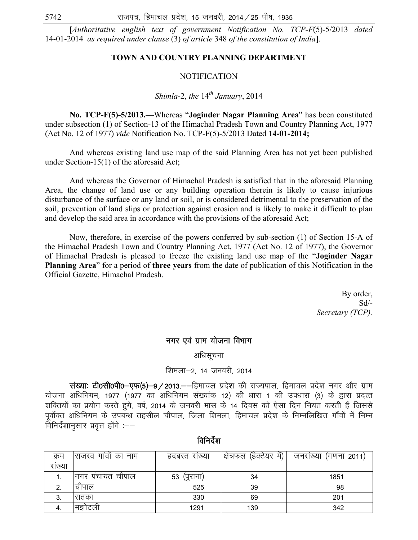### नगर एवं ग्राम योजना विभाग

अधिसूचना

#### शिमला–2, 14 जनवरी, 2014

संख्याः टी0सी0पी0-एफ(5)-9/2013.--हिमाचल प्रदेश की राज्यपाल, हिमाचल प्रदेश नगर और ग्राम योजना अधिनियम, 1977 (1977 का अधिनियम संख्यांक 12) की धारा 1 की उपधारा (3) के द्वारा प्रदत्त शक्तियों का प्रयोग करते हुये, वर्ष, 2014 के जनवरी मास के 14 दिवस को ऐसा दिन नियत करती हैं जिससे पूर्वोक्त अधिनियम के उपबन्ध तहसील चौपाल, जिला शिमला, हिमाचल प्रदेश के निम्नलिखित गाँवों में निम्न विनिर्देशानुसार प्रवृत्त होंगे :--

| क्रम  | राजस्व गांवों का नाम | हदबस्त सख्या   | क्षेत्रफल (हैक्टेयर में)। | जनसंख्या (गणना 2011) |
|-------|----------------------|----------------|---------------------------|----------------------|
| सख्या |                      |                |                           |                      |
|       | निगर पंचायत चापाल    | 53<br>(पुराना) | 34                        | 1851                 |
|       | चीपाल                | 525            | 39                        | 98                   |
| 3.    | सतका                 | 330            | 69                        | 201                  |
|       | मिझोटली              | 1291           | 139                       | 342                  |

विनिर्देश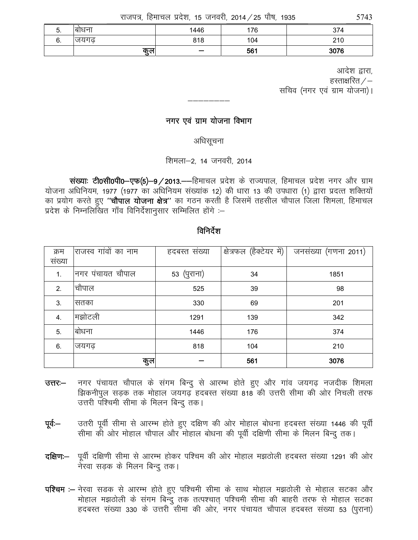राजपत्र, हिमाचल प्रदेश, 15 जनवरी, 2014 / 25 पौष, 1935

| J. | बाधन | 1446                     | 76  | 27 <sub>0</sub><br>714 |
|----|------|--------------------------|-----|------------------------|
| υ. | जयगढ | 818                      | 104 | 210                    |
|    | कुल  | $\overline{\phantom{0}}$ | 561 | 3076                   |

आदेश द्वारा. हस्ताक्षरित  $/-$ सचिव (नगर एवं ग्राम योजना)।

### नगर एवं ग्राम योजना विभाग

अधिसूचना

शिमला-2, 14 जनवरी, 2014

संख्याः टी0सी0पी0-एफ(5)-9/2013.--हिमाचल प्रदेश के राज्यपाल, हिमाचल प्रदेश नगर और ग्राम योजना अधिनियम, 1977 (1977 का अधिनियम संख्यांक 12) की धारा 13 की उपधारा (1) द्वारा प्रदत्त शक्तियों का प्रयोग करते हुए "**चौपाल योजना क्षेत्र**" का गठन करती है जिसमें तहसील चौपाल जिला शिमला, हिमाचल प्रदेश के निम्नलिखित गाँव विनिर्देशानुसार सम्मिलित होंगे :-

## विनिर्देश

| क्रम   | राजस्व गांवों का नाम | हदबस्त संख्या | क्षेत्रफल (हैक्टेयर में) | जनसंख्या (गणना 2011) |
|--------|----------------------|---------------|--------------------------|----------------------|
| संख्या |                      |               |                          |                      |
| 1.     | नगर पंचायत चौपाल     | 53 (पुराना)   | 34                       | 1851                 |
| 2.     | चौपाल                | 525           | 39                       | 98                   |
| 3.     | सतका                 | 330           | 69                       | 201                  |
| 4.     | मझोटली               | 1291          | 139                      | 342                  |
| 5.     | बोधना                | 1446          | 176                      | 374                  |
| 6.     | जयगढ                 | 818           | 104                      | 210                  |
|        | कुल                  |               | 561                      | 3076                 |

- नगर पंचायत चौपाल के संगम बिन्दु से आरम्भ होते हुए और गांव जयगढ़ नजदीक शिमला  $37 -$ झिकनीपुल सड़क तक मोहाल जयगढ़ हदबस्त संख्या 818 की उत्तरी सीमा की ओर निचली तरफ उत्तरी पश्चिमी सीमा के मिलन बिन्दु तक।
- उतरी पूर्वी सीमा से आरम्भ होते हुए दक्षिण की ओर मोहाल बोधना हदबस्त संख्या 1446 की पूर्वी पूर्व:— सीमा की ओर मोहाल चौपाल और मोहाल बोधना की पूर्वी दक्षिणी सीमा के मिलन बिन्दु तक।
- दक्षिण:— पूर्वी दक्षिणी सीमा से आरम्भ होकर पश्चिम की ओर मोहाल मझठोली हदबस्त संख्या 1291 की ओर नेरवा सडक के मिलन बिन्दु तक।
- पश्चिम :- नेरवा सडक से आरम्भ होते हुए पश्चिमी सीमा के साथ मोहाल मझठोली से मोहाल सटका और मोहाल मझठोली के संगम बिन्दु तक तत्पश्चात् पश्चिमी सीमा की बाहरी तरफ से मोहाल सटका हदबस्त संख्या 330 के उत्तरी सीमा की ओर, नगर पंचायत चौपाल हदबस्त संख्या 53 (पुराना)

5743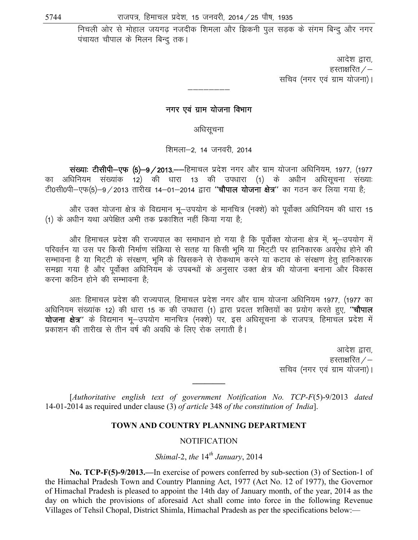निचली ओर से मोहाल जयगढ़ नजदीक शिमला और झिकनी पुल सड़क के संगम बिन्दू और नगर पंचायत चौपाल के मिलन बिन्दु तक।

> आदेश द्वारा, हस्ताक्षरित $\angle -$ सचिव (नगर एवं ग्राम योजना)।

### नगर एवं ग्राम योजना विभाग

अधिसूचना

शिमला-2, 14 जनवरी, 2014

संख्याः टीसीपी-एफ (5)-9/2013.--हिमाचल प्रदेश नगर और ग्राम योजना अधिनियम, 1977, (1977 का अधिनियम संख्यांक 12) की धारा 13 की उपधारा (1) के अधीन अधिसूचना संख्याः टी0सी0पी-एफ(5)-9/2013 तारीख 14-01-2014 द्वारा "चौपाल योजना क्षेत्र" का गठन कर लिया गया है;

और उक्त योजना क्षेत्र के विद्यमान भू-उपयोग के मानचित्र (नक्शे) को पूर्वोक्त अधिनियम की धारा 15 (1) के अधीन यथा अपेक्षित अभी तक प्रकाशित नहीं किया गया है:

और हिमाचल प्रदेश की राज्यपाल का समाधान हो गया है कि पूर्वोक्त योजना क्षेत्र में, भू-उपयोग में परिवर्तन या उस पर किसी निर्माण संक्रिया से सतह या किसी भूमि या मिट्टी पर हानिकारक अवरोध होने की सम्भावना है या मिट्टी के संरक्षण, भूमि के खिसकने से रोकथाम करने या कटाव के संरक्षण हेतु हानिकारक समझा गया है और पूर्वोक्त अधिनियम के उपबन्धों के अनुसार उक्त क्षेत्र की योजना बनाना और विकास करना कतिन होने की सम्भावना है<sup>.</sup>

अतः हिमाचल प्रदेश की राज्यपाल, हिमाचल प्रदेश नगर और ग्राम योजना अधिनियम 1977, (1977 का अधिनियम संख्यांक 12) की धारा 15 क की उपधारा (1) द्वारा प्रदत्त शक्तियों का प्रयोग करते हुए, "चौपाल योजना क्षेत्र" के विद्यमान भू-उपयोग मानचित्र (नक्शे) पर, इस अधिसूचना के राजपत्र, हिमाचल प्रदेश में प्रकाशन की तारीख से तीन वर्ष की अवधि के लिए रोक लगाती है।

> आदेश द्वारा, हस्ताक्षरित  $\angle$   $-$ सचिव (नगर एवं ग्राम योजना)।

[Authoritative english text of government Notification No. TCP-F(5)-9/2013 dated 14-01-2014 as required under clause (3) of article 348 of the constitution of India].

### TOWN AND COUNTRY PLANNING DEPARTMENT

#### **NOTIFICATION**

### Shimal-2, the  $14^{th}$  January, 2014

No. TCP-F(5)-9/2013.—In exercise of powers conferred by sub-section (3) of Section-1 of the Himachal Pradesh Town and Country Planning Act, 1977 (Act No. 12 of 1977), the Governor of Himachal Pradesh is pleased to appoint the 14th day of January month, of the year, 2014 as the day on which the provisions of aforesaid Act shall come into force in the following Revenue Villages of Tehsil Chopal, District Shimla, Himachal Pradesh as per the specifications below:—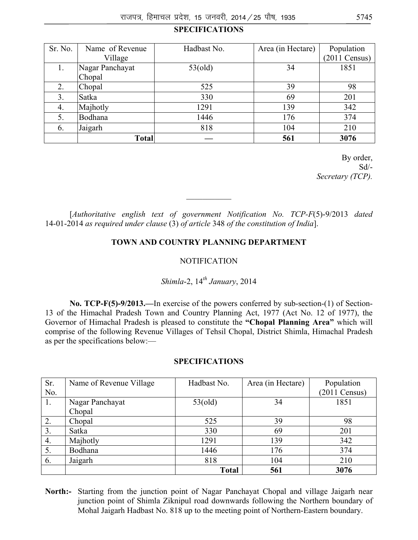## **SPECIFICATIONS**

| Sr. No. | Name of Revenue | Hadbast No. | Area (in Hectare) | Population      |
|---------|-----------------|-------------|-------------------|-----------------|
|         | Village         |             |                   | $(2011$ Census) |
|         | Nagar Panchayat | 53(old)     | 34                | 1851            |
|         | Chopal          |             |                   |                 |
| 2.      | Chopal          | 525         | 39                | 98              |
| 3.      | Satka           | 330         | 69                | 201             |
| 4.      | Majhotly        | 1291        | 139               | 342             |
| 5.      | Bodhana         | 1446        | 176               | 374             |
| 6.      | Jaigarh         | 818         | 104               | 210             |
|         | <b>Total</b>    |             | 561               | 3076            |

By order,  $Sd$ <sup>-</sup> *Secretary (TCP).* 

[*Authoritative english text of government Notification No. TCP-F*(5)-9/2013 *dated* 14-01-2014 *as required under clause* (3) *of article* 348 *of the constitution of India*].

 $\frac{1}{2}$ 

#### **TOWN AND COUNTRY PLANNING DEPARTMENT**

#### **NOTIFICATION**

# *Shimla*-2, 14*th January*, 2014

**No. TCP-F(5)-9/2013.—**In exercise of the powers conferred by sub-section-(1) of Section-13 of the Himachal Pradesh Town and Country Planning Act, 1977 (Act No. 12 of 1977), the Governor of Himachal Pradesh is pleased to constitute the **"Chopal Planning Area"** which will comprise of the following Revenue Villages of Tehsil Chopal, District Shimla, Himachal Pradesh as per the specifications below:—

#### **SPECIFICATIONS**

| Sr. | Name of Revenue Village | Hadbast No.  | Area (in Hectare) | Population              |
|-----|-------------------------|--------------|-------------------|-------------------------|
| No. |                         |              |                   | $(2011 \text{ Census})$ |
| 1.  | Nagar Panchayat         | 53(old)      | 34                | 1851                    |
|     | Chopal                  |              |                   |                         |
| 2.  | Chopal                  | 525          | 39                | 98                      |
| 3.  | Satka                   | 330          | 69                | 201                     |
| 4.  | Majhotly                | 1291         | 139               | 342                     |
| 5.  | Bodhana                 | 1446         | 176               | 374                     |
| 6.  | Jaigarh                 | 818          | 104               | 210                     |
|     |                         | <b>Total</b> | 561               | 3076                    |

**North:-** Starting from the junction point of Nagar Panchayat Chopal and village Jaigarh near junction point of Shimla Ziknipul road downwards following the Northern boundary of Mohal Jaigarh Hadbast No. 818 up to the meeting point of Northern-Eastern boundary.